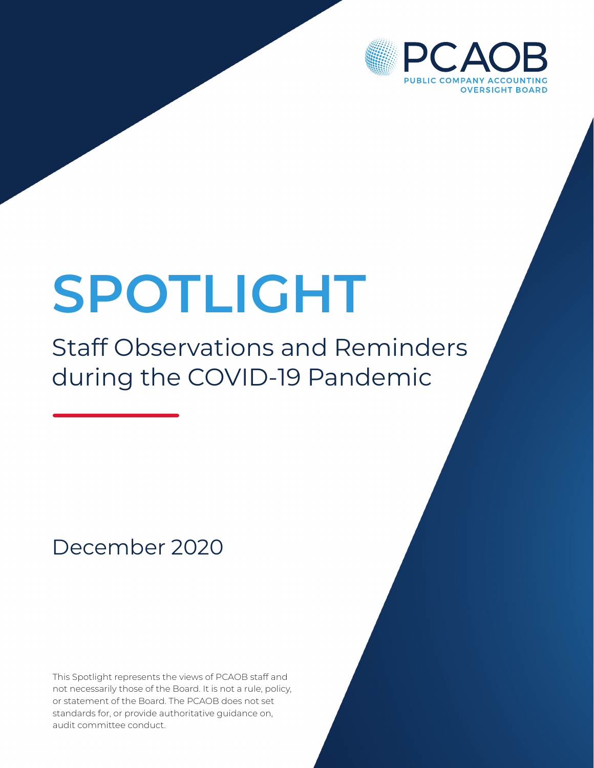

# **SPOTLIGHT**

# Staff Observations and Reminders during the COVID-19 Pandemic

## December 2020

This Spotlight represents the views of PCAOB staff and not necessarily those of the Board. It is not a rule, policy, or statement of the Board. The PCAOB does not set standards for, or provide authoritative guidance on, audit committee conduct.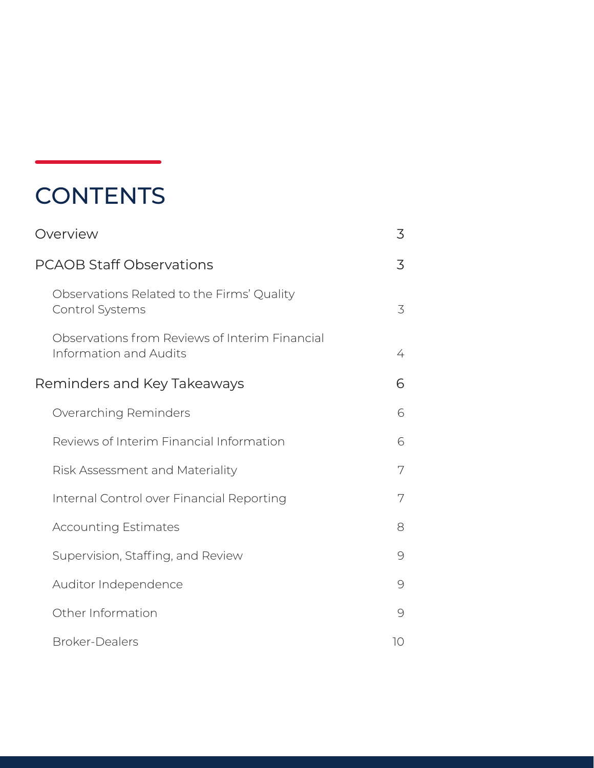## **CONTENTS**

| <b>PCAOB Staff Observations</b>                                                 | 3  |
|---------------------------------------------------------------------------------|----|
| Observations Related to the Firms' Quality<br>Control Systems                   | 3  |
| Observations from Reviews of Interim Financial<br><b>Information and Audits</b> | 4  |
| Reminders and Key Takeaways                                                     | 6  |
| Overarching Reminders                                                           | 6  |
| Reviews of Interim Financial Information                                        | 6  |
| Risk Assessment and Materiality                                                 | 7  |
| Internal Control over Financial Reporting                                       | 7  |
| <b>Accounting Estimates</b>                                                     | 8  |
| Supervision, Staffing, and Review                                               | 9  |
| Auditor Independence                                                            | 9  |
| Other Information                                                               | 9  |
| <b>Broker-Dealers</b>                                                           | 10 |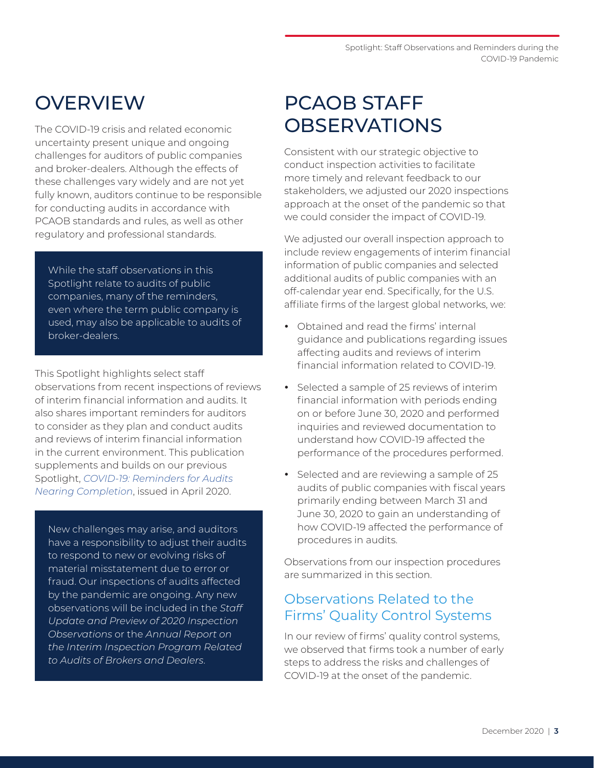### <span id="page-2-0"></span>**OVERVIEW**

The COVID-19 crisis and related economic uncertainty present unique and ongoing challenges for auditors of public companies and broker-dealers. Although the effects of these challenges vary widely and are not yet fully known, auditors continue to be responsible for conducting audits in accordance with PCAOB standards and rules, as well as other regulatory and professional standards.

While the staff observations in this Spotlight relate to audits of public companies, many of the reminders, even where the term public company is used, may also be applicable to audits of broker-dealers.

This Spotlight highlights select staff observations from recent inspections of reviews of interim financial information and audits. It also shares important reminders for auditors to consider as they plan and conduct audits and reviews of interim financial information in the current environment. This publication supplements and builds on our previous Spotlight, *[COVID-19: Reminders for Audits](https://pcaobus.org/Documents/COVID-19-Spotlight.pdf)  [Nearing Completion](https://pcaobus.org/Documents/COVID-19-Spotlight.pdf)*, issued in April 2020.

New challenges may arise, and auditors have a responsibility to adjust their audits to respond to new or evolving risks of material misstatement due to error or fraud. Our inspections of audits affected by the pandemic are ongoing. Any new observations will be included in the *Staff Update and Preview of 2020 Inspection Observations* or the *Annual Report on the Interim Inspection Program Related to Audits of Brokers and Dealers*.

## PCAOB STAFF **OBSERVATIONS**

Consistent with our strategic objective to conduct inspection activities to facilitate more timely and relevant feedback to our stakeholders, we adjusted our 2020 inspections approach at the onset of the pandemic so that we could consider the impact of COVID-19.

We adjusted our overall inspection approach to include review engagements of interim financial information of public companies and selected additional audits of public companies with an off-calendar year end. Specifically, for the U.S. affiliate firms of the largest global networks, we:

- Obtained and read the firms' internal guidance and publications regarding issues affecting audits and reviews of interim financial information related to COVID-19.
- Selected a sample of 25 reviews of interim financial information with periods ending on or before June 30, 2020 and performed inquiries and reviewed documentation to understand how COVID-19 affected the performance of the procedures performed.
- Selected and are reviewing a sample of 25 audits of public companies with fiscal years primarily ending between March 31 and June 30, 2020 to gain an understanding of how COVID-19 affected the performance of procedures in audits.

Observations from our inspection procedures are summarized in this section.

#### Observations Related to the Firms' Quality Control Systems

In our review of firms' quality control systems, we observed that firms took a number of early steps to address the risks and challenges of COVID-19 at the onset of the pandemic.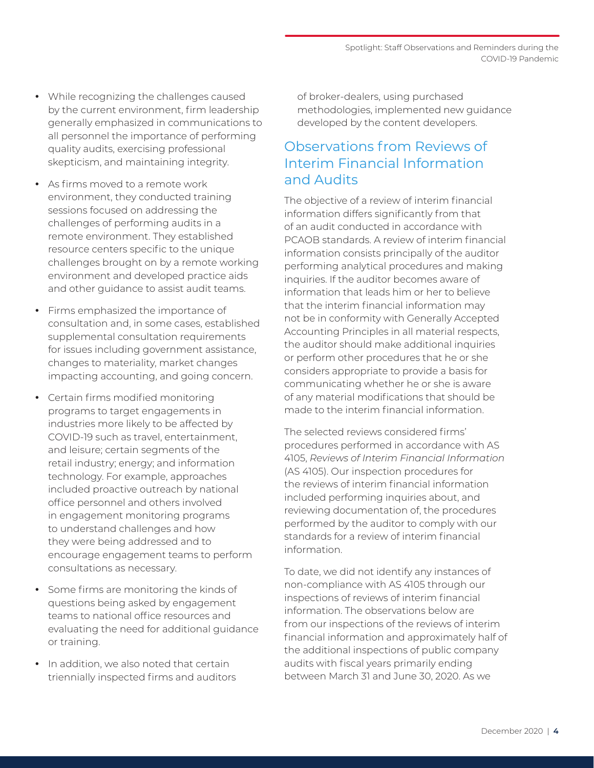- <span id="page-3-0"></span>• While recognizing the challenges caused by the current environment, firm leadership generally emphasized in communications to all personnel the importance of performing quality audits, exercising professional skepticism, and maintaining integrity.
- As firms moved to a remote work environment, they conducted training sessions focused on addressing the challenges of performing audits in a remote environment. They established resource centers specific to the unique challenges brought on by a remote working environment and developed practice aids and other guidance to assist audit teams.
- Firms emphasized the importance of consultation and, in some cases, established supplemental consultation requirements for issues including government assistance, changes to materiality, market changes impacting accounting, and going concern.
- Certain firms modified monitoring programs to target engagements in industries more likely to be affected by COVID-19 such as travel, entertainment, and leisure; certain segments of the retail industry; energy; and information technology. For example, approaches included proactive outreach by national office personnel and others involved in engagement monitoring programs to understand challenges and how they were being addressed and to encourage engagement teams to perform consultations as necessary.
- Some firms are monitoring the kinds of questions being asked by engagement teams to national office resources and evaluating the need for additional guidance or training.
- In addition, we also noted that certain triennially inspected firms and auditors

of broker-dealers, using purchased methodologies, implemented new guidance developed by the content developers.

#### Observations from Reviews of Interim Financial Information and Audits

The objective of a review of interim financial information differs significantly from that of an audit conducted in accordance with PCAOB standards. A review of interim financial information consists principally of the auditor performing analytical procedures and making inquiries. If the auditor becomes aware of information that leads him or her to believe that the interim financial information may not be in conformity with Generally Accepted Accounting Principles in all material respects, the auditor should make additional inquiries or perform other procedures that he or she considers appropriate to provide a basis for communicating whether he or she is aware of any material modifications that should be made to the interim financial information.

The selected reviews considered firms' procedures performed in accordance with AS 4105, *Reviews of Interim Financial Information* (AS 4105). Our inspection procedures for the reviews of interim financial information included performing inquiries about, and reviewing documentation of, the procedures performed by the auditor to comply with our standards for a review of interim financial information.

To date, we did not identify any instances of non-compliance with AS 4105 through our inspections of reviews of interim financial information. The observations below are from our inspections of the reviews of interim financial information and approximately half of the additional inspections of public company audits with fiscal years primarily ending between March 31 and June 30, 2020. As we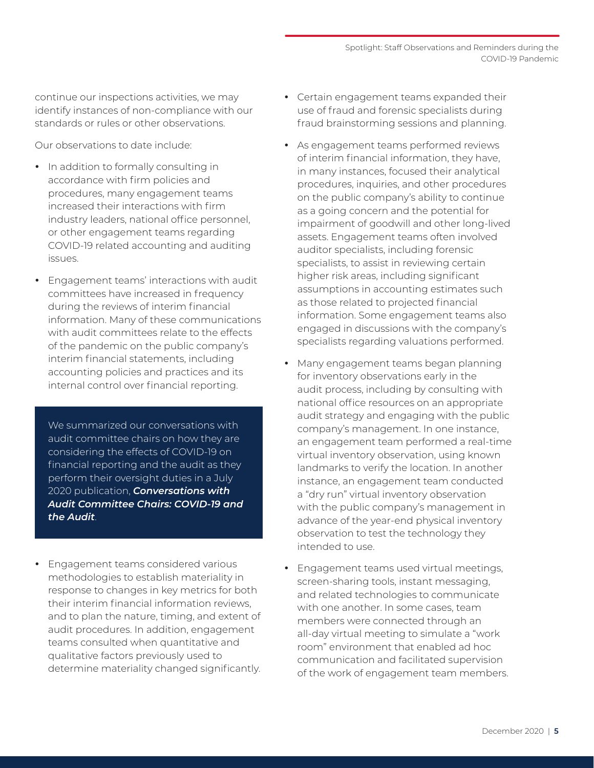continue our inspections activities, we may identify instances of non-compliance with our standards or rules or other observations.

Our observations to date include:

- In addition to formally consulting in accordance with firm policies and procedures, many engagement teams increased their interactions with firm industry leaders, national office personnel, or other engagement teams regarding COVID-19 related accounting and auditing issues.
- Engagement teams' interactions with audit committees have increased in frequency during the reviews of interim financial information. Many of these communications with audit committees relate to the effects of the pandemic on the public company's interim financial statements, including accounting policies and practices and its internal control over financial reporting.

We summarized our conversations with audit committee chairs on how they are considering the effects of COVID-19 on financial reporting and the audit as they perform their oversight duties in a July 2020 publication, *[Conversations with](https://pcaobus.org/Documents/Conversations-with-Audit-Committee-Chairs-Covid.pdf)  [Audit Committee Chairs: COVID-19 and](https://pcaobus.org/Documents/Conversations-with-Audit-Committee-Chairs-Covid.pdf)  [the Audit](https://pcaobus.org/Documents/Conversations-with-Audit-Committee-Chairs-Covid.pdf)*.

• Engagement teams considered various methodologies to establish materiality in response to changes in key metrics for both their interim financial information reviews, and to plan the nature, timing, and extent of audit procedures. In addition, engagement teams consulted when quantitative and qualitative factors previously used to determine materiality changed significantly.

- Certain engagement teams expanded their use of fraud and forensic specialists during fraud brainstorming sessions and planning.
- As engagement teams performed reviews of interim financial information, they have, in many instances, focused their analytical procedures, inquiries, and other procedures on the public company's ability to continue as a going concern and the potential for impairment of goodwill and other long-lived assets. Engagement teams often involved auditor specialists, including forensic specialists, to assist in reviewing certain higher risk areas, including significant assumptions in accounting estimates such as those related to projected financial information. Some engagement teams also engaged in discussions with the company's specialists regarding valuations performed.
- Many engagement teams began planning for inventory observations early in the audit process, including by consulting with national office resources on an appropriate audit strategy and engaging with the public company's management. In one instance, an engagement team performed a real-time virtual inventory observation, using known landmarks to verify the location. In another instance, an engagement team conducted a "dry run" virtual inventory observation with the public company's management in advance of the year-end physical inventory observation to test the technology they intended to use.
- Engagement teams used virtual meetings, screen-sharing tools, instant messaging, and related technologies to communicate with one another. In some cases, team members were connected through an all-day virtual meeting to simulate a "work room" environment that enabled ad hoc communication and facilitated supervision of the work of engagement team members.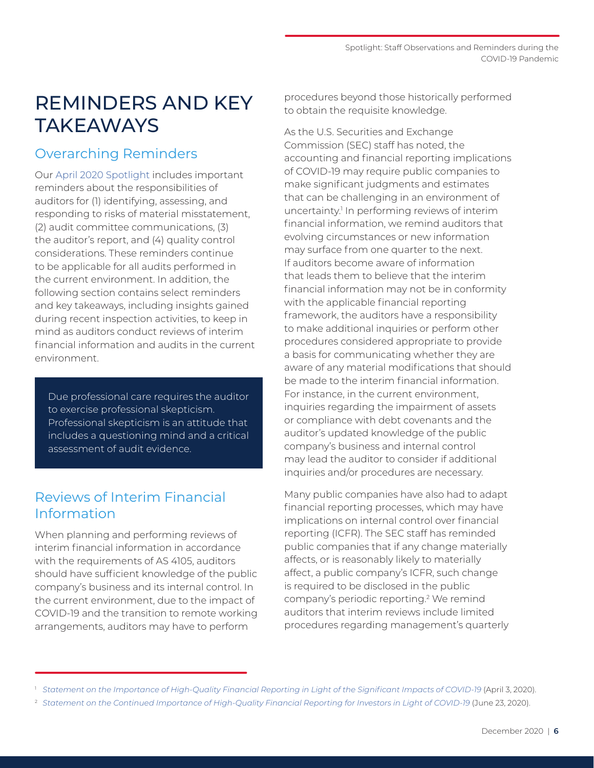## <span id="page-5-0"></span>REMINDERS AND KEY **TAKEAWAYS**

#### Overarching Reminders

Our [April 2020 Spotlight](https://pcaob-assets.azureedge.net/pcaob-dev/docs/default-source/documents/covid-19-spotlight.pdf?sfvrsn=24e6b033_0) includes important reminders about the responsibilities of auditors for (1) identifying, assessing, and responding to risks of material misstatement, (2) audit committee communications, (3) the auditor's report, and (4) quality control considerations. These reminders continue to be applicable for all audits performed in the current environment. In addition, the following section contains select reminders and key takeaways, including insights gained during recent inspection activities, to keep in mind as auditors conduct reviews of interim financial information and audits in the current environment.

Due professional care requires the auditor to exercise professional skepticism. Professional skepticism is an attitude that includes a questioning mind and a critical assessment of audit evidence.

#### Reviews of Interim Financial Information

When planning and performing reviews of interim financial information in accordance with the requirements of AS 4105, auditors should have sufficient knowledge of the public company's business and its internal control. In the current environment, due to the impact of COVID-19 and the transition to remote working arrangements, auditors may have to perform

procedures beyond those historically performed to obtain the requisite knowledge.

As the U.S. Securities and Exchange Commission (SEC) staff has noted, the accounting and financial reporting implications of COVID-19 may require public companies to make significant judgments and estimates that can be challenging in an environment of uncertainty.<sup>1</sup> In performing reviews of interim financial information, we remind auditors that evolving circumstances or new information may surface from one quarter to the next. If auditors become aware of information that leads them to believe that the interim financial information may not be in conformity with the applicable financial reporting framework, the auditors have a responsibility to make additional inquiries or perform other procedures considered appropriate to provide a basis for communicating whether they are aware of any material modifications that should be made to the interim financial information. For instance, in the current environment, inquiries regarding the impairment of assets or compliance with debt covenants and the auditor's updated knowledge of the public company's business and internal control may lead the auditor to consider if additional inquiries and/or procedures are necessary.

Many public companies have also had to adapt financial reporting processes, which may have implications on internal control over financial reporting (ICFR). The SEC staff has reminded public companies that if any change materially affects, or is reasonably likely to materially affect, a public company's ICFR, such change is required to be disclosed in the public company's periodic reporting.<sup>2</sup> We remind auditors that interim reviews include limited procedures regarding management's quarterly

<sup>1</sup> *[Statement on the Importance of High-Quality Financial Reporting in Light of the Significant Impacts of COVID-19](https://www.sec.gov/news/public-statement/statement-teotia-financial-reporting-covid-19-2020-04-03)* (April 3, 2020).

<sup>2</sup> *[Statement on the Continued Importance of High-Quality Financial Reporting for Investors in Light of COVID-19](https://www.sec.gov/news/public-statement/teotia-financial-reporting-covid-19-2020-06-23)* (June 23, 2020).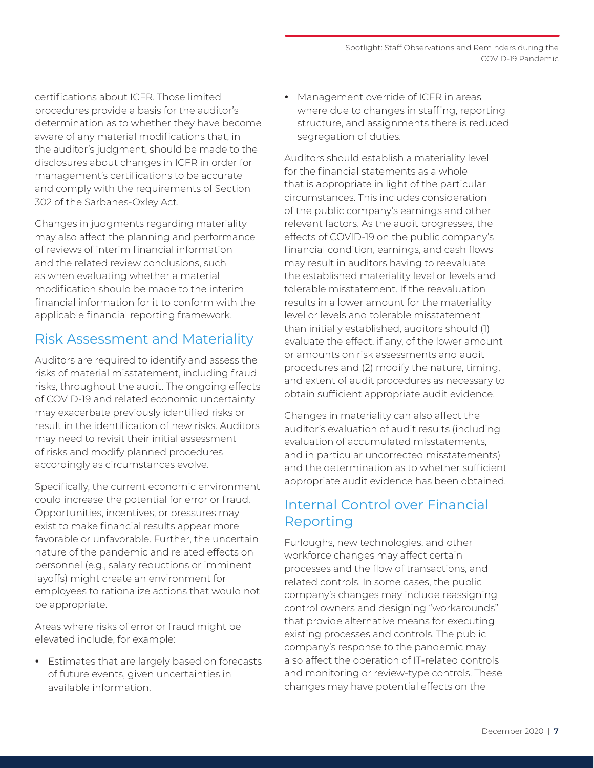<span id="page-6-0"></span>certifications about ICFR. Those limited procedures provide a basis for the auditor's determination as to whether they have become aware of any material modifications that, in the auditor's judgment, should be made to the disclosures about changes in ICFR in order for management's certifications to be accurate and comply with the requirements of Section 302 of the Sarbanes-Oxley Act.

Changes in judgments regarding materiality may also affect the planning and performance of reviews of interim financial information and the related review conclusions, such as when evaluating whether a material modification should be made to the interim financial information for it to conform with the applicable financial reporting framework.

#### Risk Assessment and Materiality

Auditors are required to identify and assess the risks of material misstatement, including fraud risks, throughout the audit. The ongoing effects of COVID-19 and related economic uncertainty may exacerbate previously identified risks or result in the identification of new risks. Auditors may need to revisit their initial assessment of risks and modify planned procedures accordingly as circumstances evolve.

Specifically, the current economic environment could increase the potential for error or fraud. Opportunities, incentives, or pressures may exist to make financial results appear more favorable or unfavorable. Further, the uncertain nature of the pandemic and related effects on personnel (e.g., salary reductions or imminent layoffs) might create an environment for employees to rationalize actions that would not be appropriate.

Areas where risks of error or fraud might be elevated include, for example:

• Estimates that are largely based on forecasts of future events, given uncertainties in available information.

• Management override of ICFR in areas where due to changes in staffing, reporting structure, and assignments there is reduced segregation of duties.

Auditors should establish a materiality level for the financial statements as a whole that is appropriate in light of the particular circumstances. This includes consideration of the public company's earnings and other relevant factors. As the audit progresses, the effects of COVID-19 on the public company's financial condition, earnings, and cash flows may result in auditors having to reevaluate the established materiality level or levels and tolerable misstatement. If the reevaluation results in a lower amount for the materiality level or levels and tolerable misstatement than initially established, auditors should (1) evaluate the effect, if any, of the lower amount or amounts on risk assessments and audit procedures and (2) modify the nature, timing, and extent of audit procedures as necessary to obtain sufficient appropriate audit evidence.

Changes in materiality can also affect the auditor's evaluation of audit results (including evaluation of accumulated misstatements, and in particular uncorrected misstatements) and the determination as to whether sufficient appropriate audit evidence has been obtained.

#### Internal Control over Financial Reporting

Furloughs, new technologies, and other workforce changes may affect certain processes and the flow of transactions, and related controls. In some cases, the public company's changes may include reassigning control owners and designing "workarounds" that provide alternative means for executing existing processes and controls. The public company's response to the pandemic may also affect the operation of IT-related controls and monitoring or review-type controls. These changes may have potential effects on the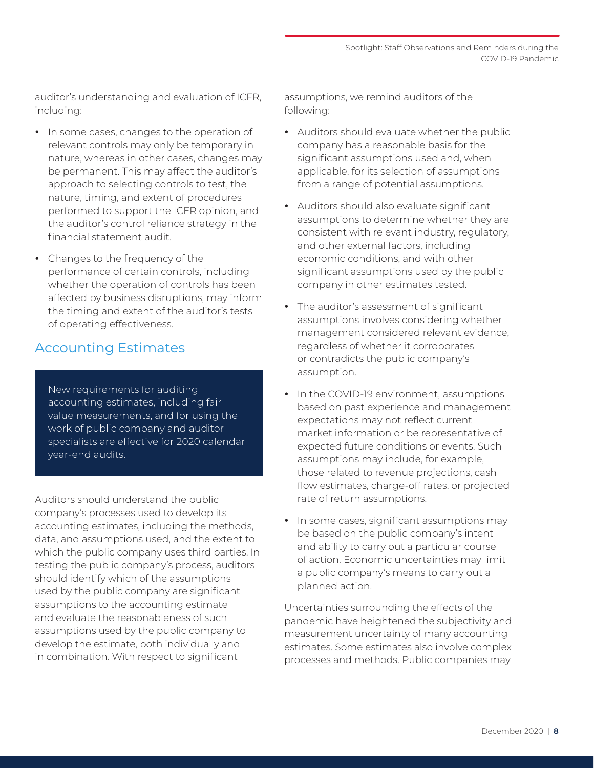<span id="page-7-0"></span>auditor's understanding and evaluation of ICFR, including:

- In some cases, changes to the operation of relevant controls may only be temporary in nature, whereas in other cases, changes may be permanent. This may affect the auditor's approach to selecting controls to test, the nature, timing, and extent of procedures performed to support the ICFR opinion, and the auditor's control reliance strategy in the financial statement audit.
- Changes to the frequency of the performance of certain controls, including whether the operation of controls has been affected by business disruptions, may inform the timing and extent of the auditor's tests of operating effectiveness.

#### Accounting Estimates

New requirements for auditing accounting estimates, including fair value measurements, and for using the work of public company and auditor specialists are effective for 2020 calendar year-end audits.

Auditors should understand the public company's processes used to develop its accounting estimates, including the methods, data, and assumptions used, and the extent to which the public company uses third parties. In testing the public company's process, auditors should identify which of the assumptions used by the public company are significant assumptions to the accounting estimate and evaluate the reasonableness of such assumptions used by the public company to develop the estimate, both individually and in combination. With respect to significant

assumptions, we remind auditors of the following:

- Auditors should evaluate whether the public company has a reasonable basis for the significant assumptions used and, when applicable, for its selection of assumptions from a range of potential assumptions.
- Auditors should also evaluate significant assumptions to determine whether they are consistent with relevant industry, regulatory, and other external factors, including economic conditions, and with other significant assumptions used by the public company in other estimates tested.
- The auditor's assessment of significant assumptions involves considering whether management considered relevant evidence, regardless of whether it corroborates or contradicts the public company's assumption.
- In the COVID-19 environment, assumptions based on past experience and management expectations may not reflect current market information or be representative of expected future conditions or events. Such assumptions may include, for example, those related to revenue projections, cash flow estimates, charge-off rates, or projected rate of return assumptions.
- In some cases, significant assumptions may be based on the public company's intent and ability to carry out a particular course of action. Economic uncertainties may limit a public company's means to carry out a planned action.

Uncertainties surrounding the effects of the pandemic have heightened the subjectivity and measurement uncertainty of many accounting estimates. Some estimates also involve complex processes and methods. Public companies may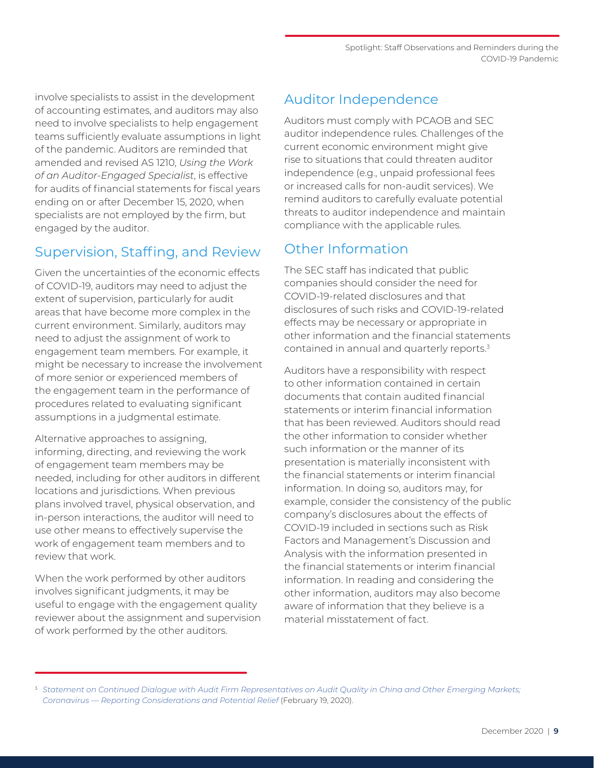<span id="page-8-0"></span>involve specialists to assist in the development of accounting estimates, and auditors may also need to involve specialists to help engagement teams sufficiently evaluate assumptions in light of the pandemic. Auditors are reminded that amended and revised AS 1210, *Using the Work of an Auditor-Engaged Specialist*, is effective for audits of financial statements for fiscal years ending on or after December 15, 2020, when specialists are not employed by the firm, but engaged by the auditor.

#### Supervision, Staffing, and Review

Given the uncertainties of the economic effects of COVID-19, auditors may need to adjust the extent of supervision, particularly for audit areas that have become more complex in the current environment. Similarly, auditors may need to adjust the assignment of work to engagement team members. For example, it might be necessary to increase the involvement of more senior or experienced members of the engagement team in the performance of procedures related to evaluating significant assumptions in a judgmental estimate.

Alternative approaches to assigning, informing, directing, and reviewing the work of engagement team members may be needed, including for other auditors in different locations and jurisdictions. When previous plans involved travel, physical observation, and in-person interactions, the auditor will need to use other means to effectively supervise the work of engagement team members and to review that work.

When the work performed by other auditors involves significant judgments, it may be useful to engage with the engagement quality reviewer about the assignment and supervision of work performed by the other auditors.

#### Auditor Independence

Auditors must comply with PCAOB and SEC auditor independence rules. Challenges of the current economic environment might give rise to situations that could threaten auditor independence (e.g., unpaid professional fees or increased calls for non-audit services). We remind auditors to carefully evaluate potential threats to auditor independence and maintain compliance with the applicable rules.

#### Other Information

The SEC staff has indicated that public companies should consider the need for COVID-19-related disclosures and that disclosures of such risks and COVID-19-related effects may be necessary or appropriate in other information and the financial statements contained in annual and quarterly reports.3

Auditors have a responsibility with respect to other information contained in certain documents that contain audited financial statements or interim financial information that has been reviewed. Auditors should read the other information to consider whether such information or the manner of its presentation is materially inconsistent with the financial statements or interim financial information. In doing so, auditors may, for example, consider the consistency of the public company's disclosures about the effects of COVID-19 included in sections such as Risk Factors and Management's Discussion and Analysis with the information presented in the financial statements or interim financial information. In reading and considering the other information, auditors may also become aware of information that they believe is a material misstatement of fact.

<sup>3</sup> *[Statement on Continued Dialogue with Audit Firm Representatives on Audit Quality in China and Other Emerging Markets;](https://www.sec.gov/news/public-statement/statement-audit-quality-china-2020-02-19)  [Coronavirus — Reporting Considerations and Potential Relief](https://www.sec.gov/news/public-statement/statement-audit-quality-china-2020-02-19)* (February 19, 2020).